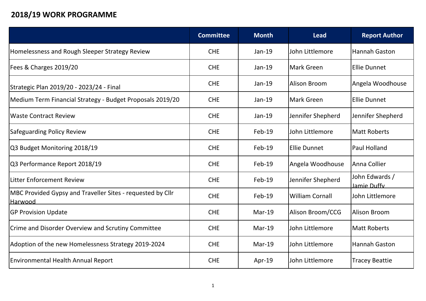## **2018/19 WORK PROGRAMME**

|                                                                              | <b>Committee</b> | <b>Month</b> | <b>Lead</b>            | <b>Report Author</b>          |
|------------------------------------------------------------------------------|------------------|--------------|------------------------|-------------------------------|
| Homelessness and Rough Sleeper Strategy Review                               | <b>CHE</b>       | $Jan-19$     | John Littlemore        | Hannah Gaston                 |
| Fees & Charges 2019/20                                                       | <b>CHE</b>       | $Jan-19$     | <b>Mark Green</b>      | Ellie Dunnet                  |
| Strategic Plan 2019/20 - 2023/24 - Final                                     | <b>CHE</b>       | $Jan-19$     | <b>Alison Broom</b>    | Angela Woodhouse              |
| Medium Term Financial Strategy - Budget Proposals 2019/20                    | <b>CHE</b>       | Jan-19       | Mark Green             | Ellie Dunnet                  |
| <b>Waste Contract Review</b>                                                 | <b>CHE</b>       | $Jan-19$     | Jennifer Shepherd      | Jennifer Shepherd             |
| <b>Safeguarding Policy Review</b>                                            | <b>CHE</b>       | Feb-19       | John Littlemore        | Matt Roberts                  |
| Q3 Budget Monitoring 2018/19                                                 | <b>CHE</b>       | Feb-19       | <b>Ellie Dunnet</b>    | Paul Holland                  |
| Q3 Performance Report 2018/19                                                | <b>CHE</b>       | Feb-19       | Angela Woodhouse       | Anna Collier                  |
| <b>Litter Enforcement Review</b>                                             | <b>CHE</b>       | $Feb-19$     | Jennifer Shepherd      | John Edwards /<br>Jamie Duffy |
| MBC Provided Gypsy and Traveller Sites - requested by Cllr<br><b>Harwood</b> | <b>CHE</b>       | $Feb-19$     | <b>William Cornall</b> | John Littlemore               |
| <b>GP Provision Update</b>                                                   | <b>CHE</b>       | $Mar-19$     | Alison Broom/CCG       | Alison Broom                  |
| Crime and Disorder Overview and Scrutiny Committee                           | <b>CHE</b>       | $Mar-19$     | John Littlemore        | Matt Roberts                  |
| Adoption of the new Homelessness Strategy 2019-2024                          | <b>CHE</b>       | $Mar-19$     | John Littlemore        | <b>Hannah Gaston</b>          |
| <b>Environmental Health Annual Report</b>                                    | <b>CHE</b>       | Apr-19       | John Littlemore        | <b>Tracey Beattie</b>         |